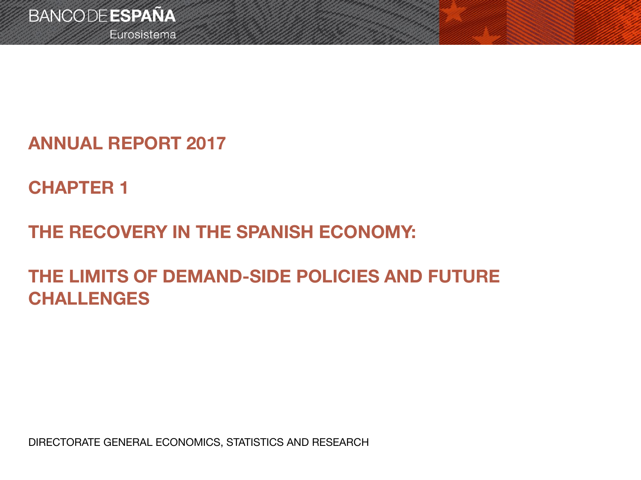Eurosistema

**ANNUAL REPORT 2017**

**CHAPTER 1**

**THE RECOVERY IN THE SPANISH ECONOMY:** 

**THE LIMITS OF DEMAND-SIDE POLICIES AND FUTURE CHALLENGES**

DIRECTORATE GENERAL ECONOMICS, STATISTICS AND RESEARCH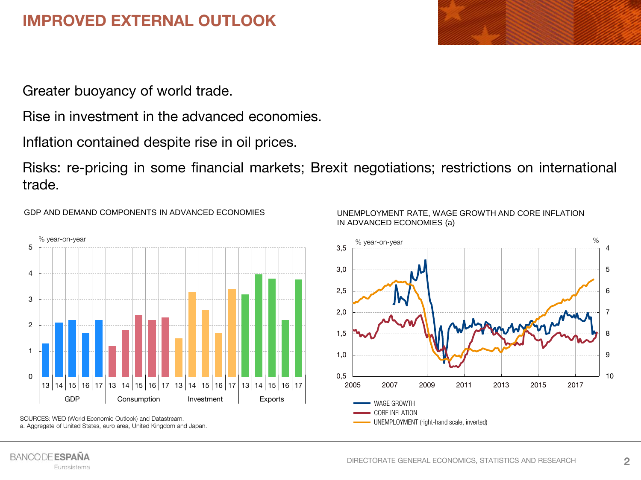# **IMPROVED EXTERNAL OUTLOOK**

Greater buoyancy of world trade.

Rise in investment in the advanced economies.

Inflation contained despite rise in oil prices.

Risks: re-pricing in some financial markets; Brexit negotiations; restrictions on international trade.

GDP AND DEMAND COMPONENTS IN ADVANCED ECONOMIES







SOURCES: WEO (World Economic Outlook) and Datastream. a. Aggregate of United States, euro area, United Kingdom and Japan.

#### **BANCODE ESPAÑA** Eurosistema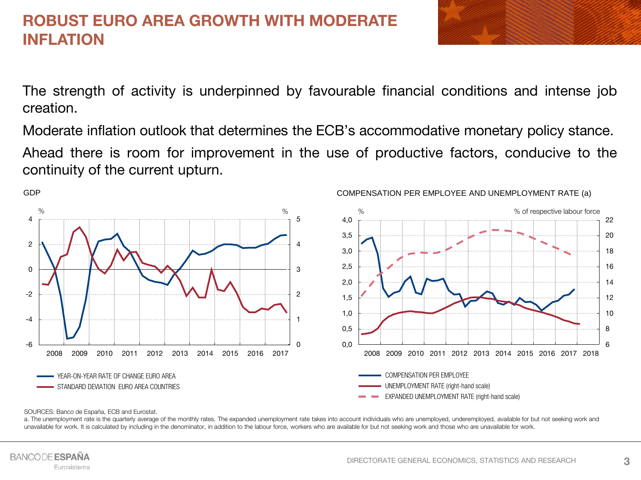#### **ROBUST EURO AREA GROWTH WITH MODERATE INFLATION**



The strength of activity is underpinned by favourable financial conditions and intense job creation.

Moderate inflation outlook that determines the ECB's accommodative monetary policy stance.

Ahead there is room for improvement in the use of productive factors, conducive to the continuity of the current upturn.



#### COMPENSATION PER EMPLOYEE AND UNEMPLOYMENT RATE (a)

#### SOURCES: Banco de España, ECB and Eurostat.

a. The unemployment rate is the quarterly average of the monthly rates. The expanded unemployment rate takes into account individuals who are unemployed, underemployed, available for but not seeking work and unavailable for work. It is calculated by including in the denominator, in addition to the labour force, workers who are available for but not seeking work and those who are unavailable for work.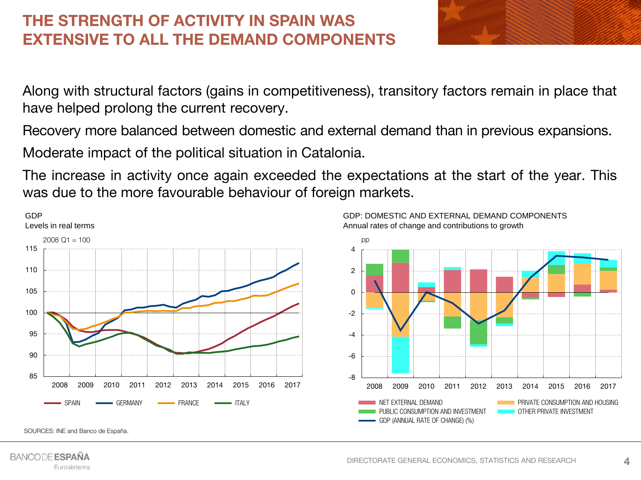# **THE STRENGTH OF ACTIVITY IN SPAIN WAS EXTENSIVE TO ALL THE DEMAND COMPONENTS**



Along with structural factors (gains in competitiveness), transitory factors remain in place that have helped prolong the current recovery.

Recovery more balanced between domestic and external demand than in previous expansions.

Moderate impact of the political situation in Catalonia.

The increase in activity once again exceeded the expectations at the start of the year. This was due to the more favourable behaviour of foreign markets.



SOURCES: INE and Banco de España.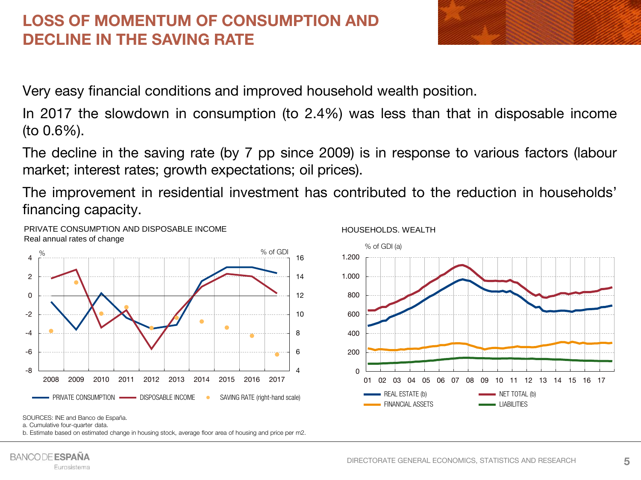# **LOSS OF MOMENTUM OF CONSUMPTION AND DECLINE IN THE SAVING RATE**



Very easy financial conditions and improved household wealth position.

In 2017 the slowdown in consumption (to 2.4%) was less than that in disposable income (to 0.6%).

The decline in the saving rate (by 7 pp since 2009) is in response to various factors (labour market; interest rates; growth expectations; oil prices).

The improvement in residential investment has contributed to the reduction in households' financing capacity.



PRIVATE CONSUMPTION AND DISPOSABLE INCOME





SOURCES: INE and Banco de España.

a. Cumulative four-quarter data.

b. Estimate based on estimated change in housing stock, average floor area of housing and price per m2.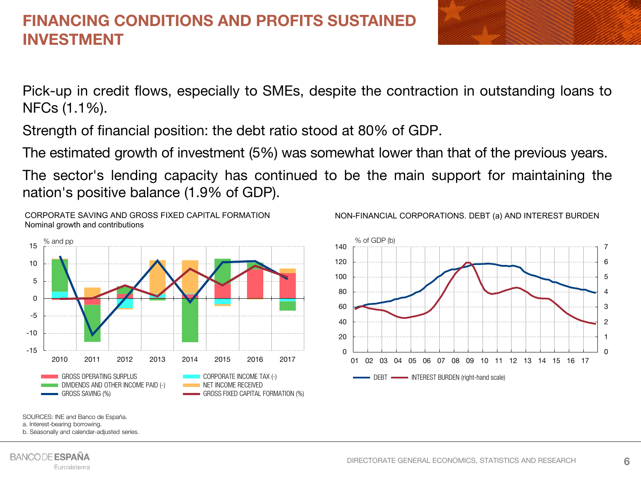## **FINANCING CONDITIONS AND PROFITS SUSTAINED INVESTMENT**



Pick-up in credit flows, especially to SMEs, despite the contraction in outstanding loans to NFCs (1.1%).

Strength of financial position: the debt ratio stood at 80% of GDP.

The estimated growth of investment (5%) was somewhat lower than that of the previous years.

The sector's lending capacity has continued to be the main support for maintaining the nation's positive balance (1.9% of GDP).



CORPORATE SAVING AND GROSS FIXED CAPITAL FORMATION





SOURCES: INE and Banco de España.

a. Interest-bearing borrowing.

b. Seasonally and calendar-adjusted series.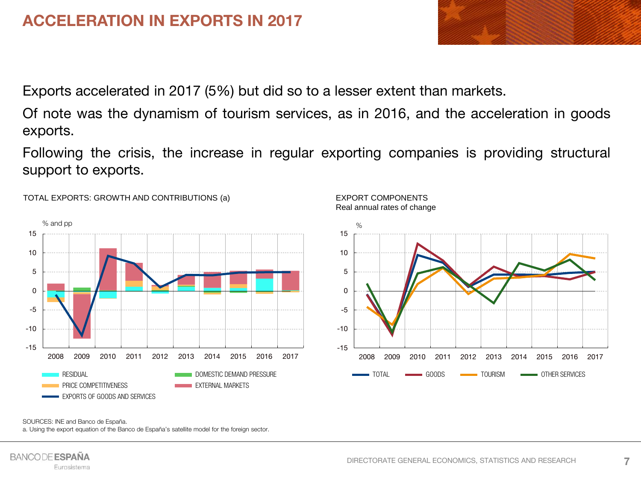# **ACCELERATION IN EXPORTS IN 2017**

Exports accelerated in 2017 (5%) but did so to a lesser extent than markets.

Of note was the dynamism of tourism services, as in 2016, and the acceleration in goods exports.

Following the crisis, the increase in regular exporting companies is providing structural support to exports.



TOTAL EXPORTS: GROWTH AND CONTRIBUTIONS (a)

EXPORT COMPONENTS Real annual rates of change



SOURCES: INE and Banco de España.

a. Using the export equation of the Banco de España's satellite model for the foreign sector.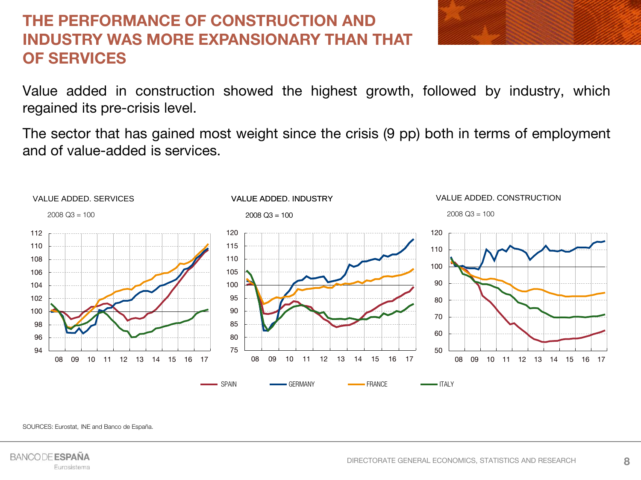# **THE PERFORMANCE OF CONSTRUCTION AND INDUSTRY WAS MORE EXPANSIONARY THAN THAT OF SERVICES**

Value added in construction showed the highest growth, followed by industry, which regained its pre-crisis level.

The sector that has gained most weight since the crisis (9 pp) both in terms of employment and of value-added is services.



SOURCES: Eurostat, INE and Banco de España.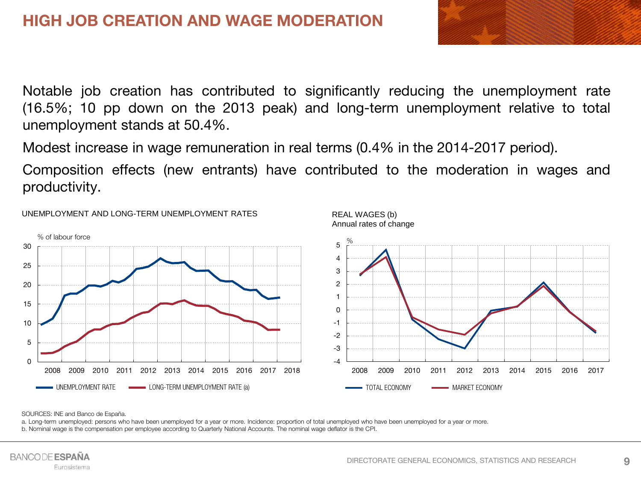

Notable job creation has contributed to significantly reducing the unemployment rate (16.5%; 10 pp down on the 2013 peak) and long-term unemployment relative to total unemployment stands at 50.4%.

Modest increase in wage remuneration in real terms (0.4% in the 2014-2017 period).

Composition effects (new entrants) have contributed to the moderation in wages and productivity.



UNEMPLOYMENT AND LONG-TERM UNEMPLOYMENT RATES

SOURCES: INE and Banco de España.

a. Long-term unemployed: persons who have been unemployed for a year or more. Incidence: proportion of total unemployed who have been unemployed for a year or more. b. Nominal wage is the compensation per employee according to Quarterly National Accounts. The nominal wage deflator is the CPI.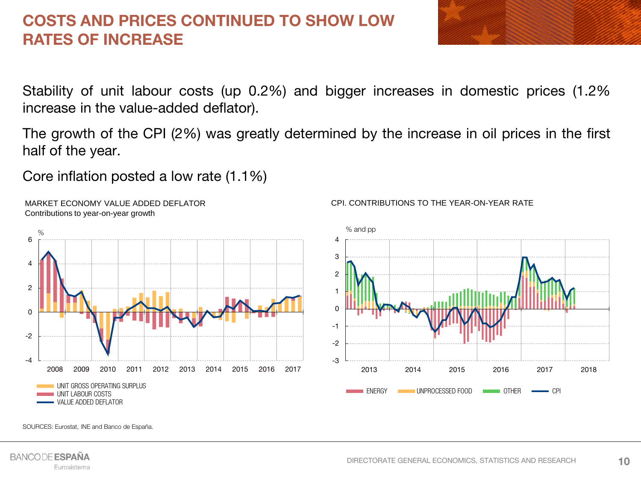## **COSTS AND PRICES CONTINUED TO SHOW LOW RATES OF INCREASE**



Stability of unit labour costs (up 0.2%) and bigger increases in domestic prices (1.2% increase in the value-added deflator).

The growth of the CPI (2%) was greatly determined by the increase in oil prices in the first half of the year.

Core inflation posted a low rate (1.1%)



MARKET ECONOMY VALUE ADDED DEFLATOR Contributions to year-on-year growth



#### CPI. CONTRIBUTIONS TO THE YEAR-ON-YEAR RATE

SOURCES: Eurostat, INE and Banco de España.

**10**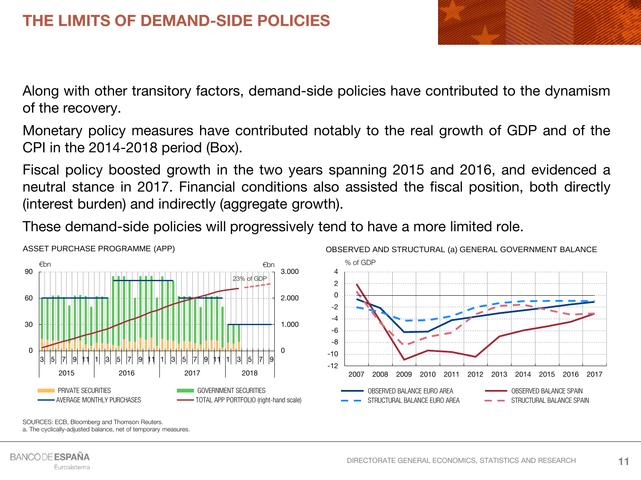

Along with other transitory factors, demand-side policies have contributed to the dynamism of the recovery.

Monetary policy measures have contributed notably to the real growth of GDP and of the CPI in the 2014-2018 period (Box).

Fiscal policy boosted growth in the two years spanning 2015 and 2016, and evidenced a neutral stance in 2017. Financial conditions also assisted the fiscal position, both directly (interest burden) and indirectly (aggregate growth).

These demand-side policies will progressively tend to have a more limited role.



SOURCES: ECB, Bloomberg and Thomson Reuters.

a. The cyclically-adjusted balance, net of temporary measures.

**11**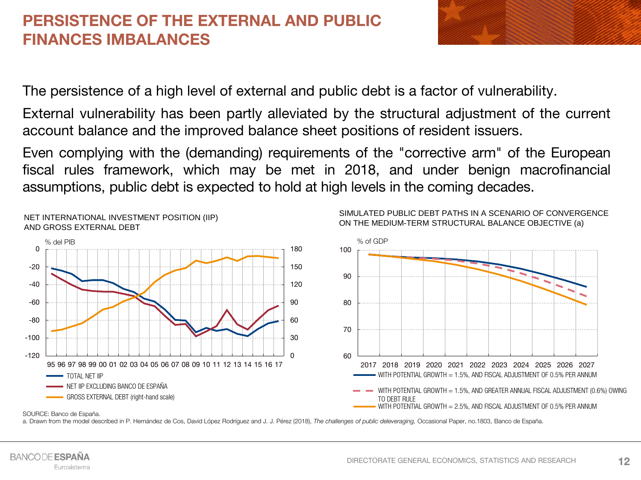### **PERSISTENCE OF THE EXTERNAL AND PUBLIC FINANCES IMBALANCES**



The persistence of a high level of external and public debt is a factor of vulnerability.

External vulnerability has been partly alleviated by the structural adjustment of the current account balance and the improved balance sheet positions of resident issuers.

Even complying with the (demanding) requirements of the "corrective arm" of the European fiscal rules framework, which may be met in 2018, and under benign macrofinancial assumptions, public debt is expected to hold at high levels in the coming decades.



SIMULATED PUBLIC DEBT PATHS IN A SCENARIO OF CONVERGENCE ON THE MEDIUM-TERM STRUCTURAL BALANCE OBJECTIVE (a)

SOURCE: Banco de España.

NET INTERNATIONAL INVESTMENT POSITION (IIP)

a. Drawn from the model described in P. Hernández de Cos, David López Rodríguez and J. J. Pérez (2018), *The challenges of public deleveraging,* Occasional Paper, no.1803, Banco de España.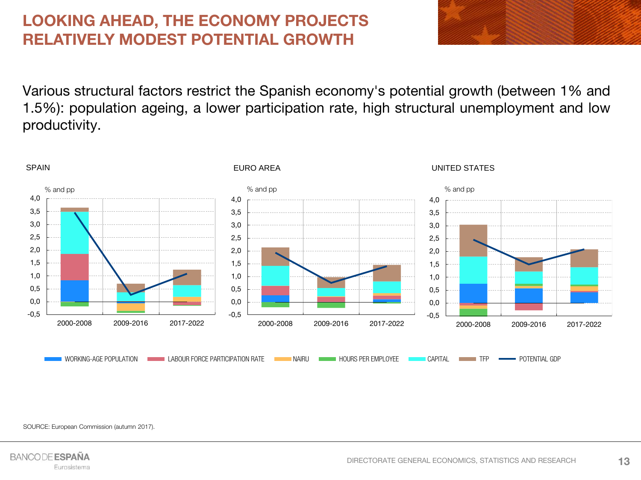# **LOOKING AHEAD, THE ECONOMY PROJECTS RELATIVELY MODEST POTENTIAL GROWTH**

Various structural factors restrict the Spanish economy's potential growth (between 1% and 1.5%): population ageing, a lower participation rate, high structural unemployment and low productivity.



SOURCE: European Commission (autumn 2017).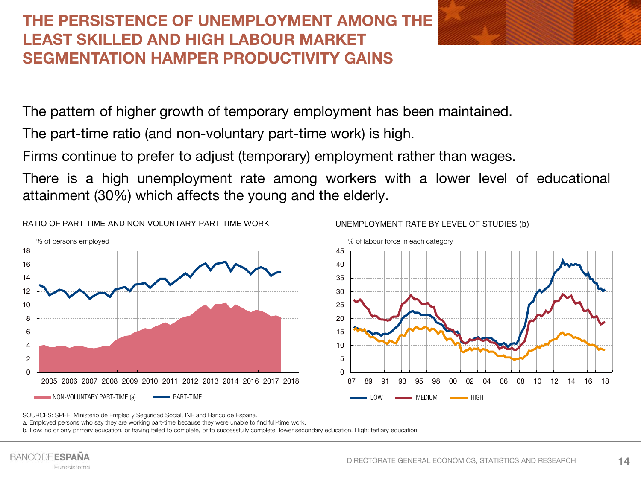# **THE PERSISTENCE OF UNEMPLOYMENT AMONG THE LEAST SKILLED AND HIGH LABOUR MARKET SEGMENTATION HAMPER PRODUCTIVITY GAINS**

The pattern of higher growth of temporary employment has been maintained.

The part-time ratio (and non-voluntary part-time work) is high.

Firms continue to prefer to adjust (temporary) employment rather than wages.

There is a high unemployment rate among workers with a lower level of educational attainment (30%) which affects the young and the elderly.





SOURCES: SPEE, Ministerio de Empleo y Seguridad Social, INE and Banco de España.

a. Employed persons who say they are working part-time because they were unable to find full-time work.

b. Low: no or only primary education, or having failed to complete, or to successfully complete, lower secondary education. High: tertiary education.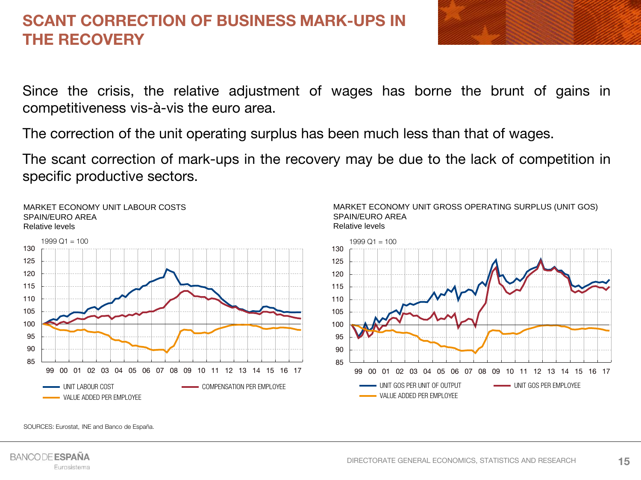## **SCANT CORRECTION OF BUSINESS MARK-UPS IN THE RECOVERY**



Since the crisis, the relative adjustment of wages has borne the brunt of gains in competitiveness vis-à-vis the euro area.

The correction of the unit operating surplus has been much less than that of wages.

The scant correction of mark-ups in the recovery may be due to the lack of competition in specific productive sectors.



SOURCES: Eurostat, INE and Banco de España.

**15**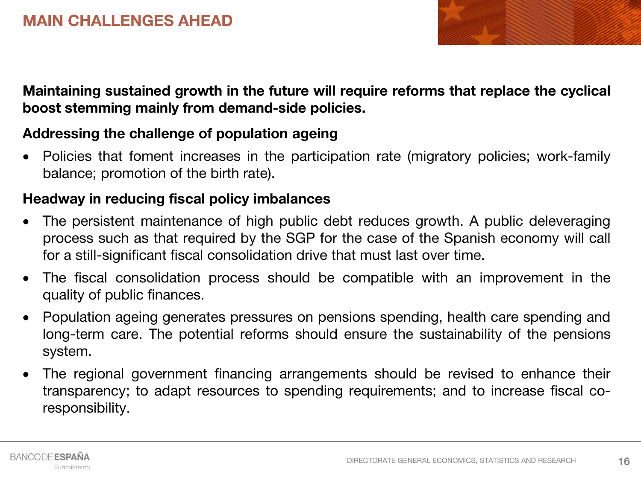

**Maintaining sustained growth in the future will require reforms that replace the cyclical boost stemming mainly from demand-side policies.**

#### **Addressing the challenge of population ageing**

• Policies that foment increases in the participation rate (migratory policies; work-family balance; promotion of the birth rate).

#### **Headway in reducing fiscal policy imbalances**

- The persistent maintenance of high public debt reduces growth. A public deleveraging process such as that required by the SGP for the case of the Spanish economy will call for a still-significant fiscal consolidation drive that must last over time.
- The fiscal consolidation process should be compatible with an improvement in the quality of public finances.
- Population ageing generates pressures on pensions spending, health care spending and long-term care. The potential reforms should ensure the sustainability of the pensions system.
- The regional government financing arrangements should be revised to enhance their transparency; to adapt resources to spending requirements; and to increase fiscal coresponsibility.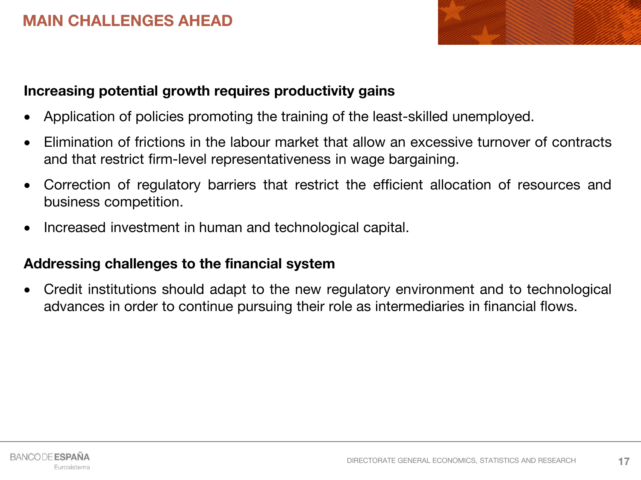#### **MAIN CHALLENGES AHEAD**



#### **Increasing potential growth requires productivity gains**

- Application of policies promoting the training of the least-skilled unemployed.
- Elimination of frictions in the labour market that allow an excessive turnover of contracts and that restrict firm-level representativeness in wage bargaining.
- Correction of regulatory barriers that restrict the efficient allocation of resources and business competition.
- Increased investment in human and technological capital.

#### **Addressing challenges to the financial system**

 Credit institutions should adapt to the new regulatory environment and to technological advances in order to continue pursuing their role as intermediaries in financial flows.